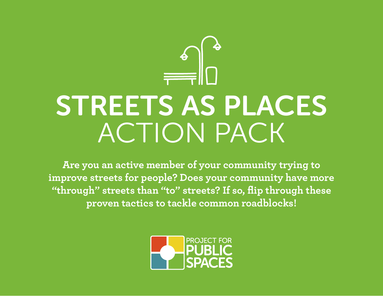# STREETS AS PLACES ACTION PACK

**Are you an active member of your community trying to improve streets for people? Does your community have more "through" streets than "to" streets? If so, flip through these proven tactics to tackle common roadblocks!**

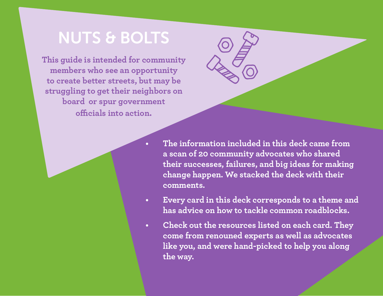# NUTS & BOLTS

**This guide is intended for community members who see an opportunity to create better streets, but may be struggling to get their neighbors on board or spur government officials into action.**

- **• The information included in this deck came from a scan of 20 community advocates who shared their successes, failures, and big ideas for making change happen. We stacked the deck with their comments.**
- **• Every card in this deck corresponds to a theme and has advice on how to tackle common roadblocks.**
- **• Check out the resources listed on each card. They come from renouned experts as well as advocates like you, and were hand-picked to help you along the way.**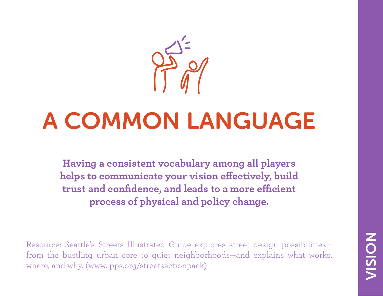# A COMMON LANGUAGE

**Having a consistent vocabulary among all players helps to communicate your vision effectively, build trust and confidence, and leads to a more efficient process of physical and policy change.**

Resource: Seattle's Streets Illustrated Guide explores street design possibilities from the bustling urban core to quiet neighborhoods—and explains what works, where, and why. (www. pps.org/streetsactionpack)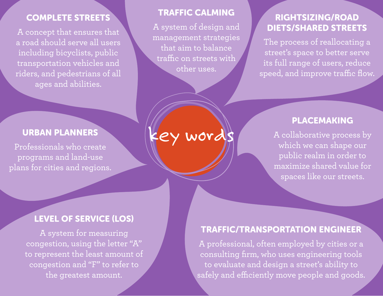## COMPLETE STREETS

A concept that ensures that a road should serve all users including bicyclists, public transportation vehicles and riders, and pedestrians of all ages and abilities.

### TRAFFIC CALMING

A system of design and management strategies that aim to balance traffic on streets with other uses.

## RIGHTSIZING/ROAD DIETS/SHARED STREETS

The process of reallocating a its full range of users, reduce speed, and improve traffic flow.

## URBAN PLANNERS

programs and land-use plans for cities and regions. words

### PLACEMAKING

A collaborative process by public realm in order to maximize shared value for spaces like our streets.

## LEVEL OF SERVICE (LOS)

A system for measuring congestion, using the letter "A" to represent the least amount of congestion and "F" to refer to the greatest amount.

### TRAFFIC/TRANSPORTATION ENGINEER

A professional, often employed by cities or a consulting firm, who uses engineering tools to evaluate and design a street's ability to safely and efficiently move people and goods.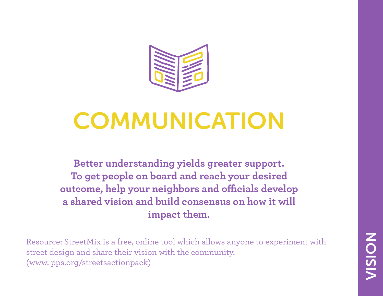

# **COMMUNICATION**

**Better understanding yields greater support. To get people on board and reach your desired outcome, help your neighbors and officials develop a shared vision and build consensus on how it will impact them.**

Resource: StreetMix is a free, online tool which allows anyone to experiment with street design and share their vision with the community. (www. pps.org/streetsactionpack)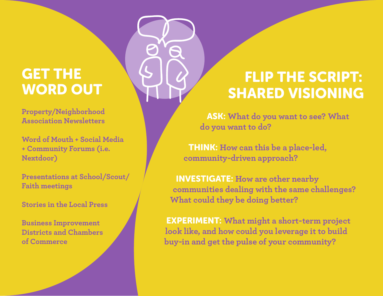## GET THE WORD OUT

**Property/Neighborhood Association Newsletters**

**Word of Mouth + Social Media + Community Forums (i.e. Nextdoor)** 

**Presentations at School/Scout/ Faith meetings** 

**Stories in the Local Press**

**Business Improvement Districts and Chambers of Commerce**

# FLIP THE SCRIPT: SHARED VISIONING

ASK: **What do you want to see? What do you want to do?**

THINK: **How can this be a place-led, community-driven approach?** 

INVESTIGATE: **How are other nearby communities dealing with the same challenges? What could they be doing better?**

EXPERIMENT: **What might a short-term project look like, and how could you leverage it to build buy-in and get the pulse of your community?**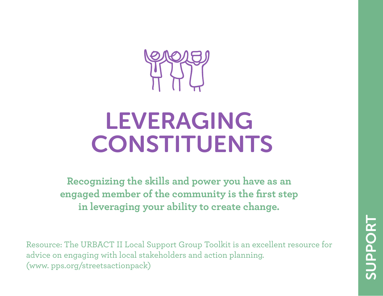

# LEVERAGING **CONSTITUENTS**

**Recognizing the skills and power you have as an engaged member of the community is the first step in leveraging your ability to create change.**

Resource: The URBACT II Local Support Group Toolkit is an excellent resource for advice on engaging with local stakeholders and action planning. (www. pps.org/streetsactionpack)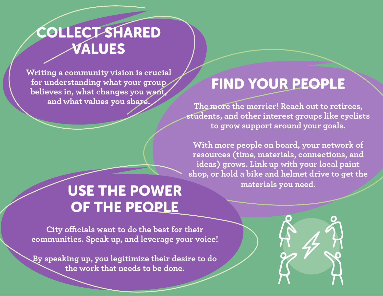# COLLECT SHARED VALUES

**Writing a community vision is crucial for understanding what your group believes in, what changes you want, and what values you share.** 

# FIND YOUR PEOPLE

**The more the merrier! Reach out to retirees, students, and other interest groups like cyclists to grow support around your goals.**

**With more people on board, your network of resources (time, materials, connections, and ideas) grows. Link up with your local paint shop, or hold a bike and helmet drive to get the** 

# **materials you need.** USE THE POWER OF THE PEOPLE

**City officials want to do the best for their communities. Speak up, and leverage your voice!** 

**By speaking up, you legitimize their desire to do the work that needs to be done.**

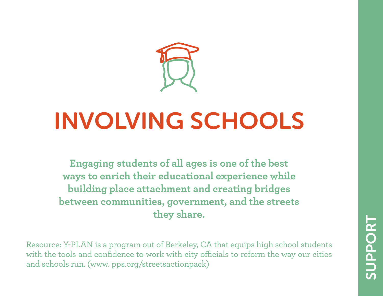

# INVOLVING SCHOOLS

**Engaging students of all ages is one of the best ways to enrich their educational experience while building place attachment and creating bridges between communities, government, and the streets they share.**

Resource: Y-PLAN is a program out of Berkeley, CA that equips high school students with the tools and confidence to work with city officials to reform the way our cities and schools run. (www. pps.org/streetsactionpack)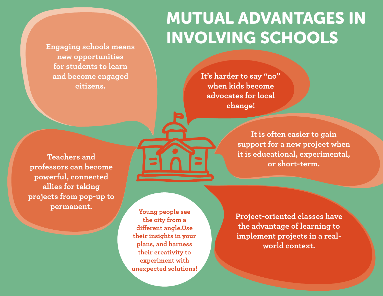**Engaging schools means new opportunities for students to learn and become engaged citizens.**

# MUTUAL ADVANTAGES IN INVOLVING SCHOOLS

**It's harder to say "no" when kids become advocates for local change!**

**Teachers and professors can become powerful, connected allies for taking projects from pop-up to permanent. Young people see** 

**It is often easier to gain support for a new project when it is educational, experimental, or short-term.**

**the city from a different angle.Use their insights in your plans, and harness their creativity to experiment with unexpected solutions!**

**Project-oriented classes have the advantage of learning to implement projects in a realworld context.**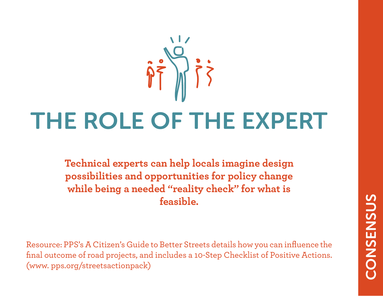

# THE ROLE OF THE EXPERT

**Technical experts can help locals imagine design possibilities and opportunities for policy change while being a needed "reality check" for what is feasible.**

Resource: PPS's A Citizen's Guide to Better Streets details how you can influence the final outcome of road projects, and includes a 10-Step Checklist of Positive Actions. (www. pps.org/streetsactionpack)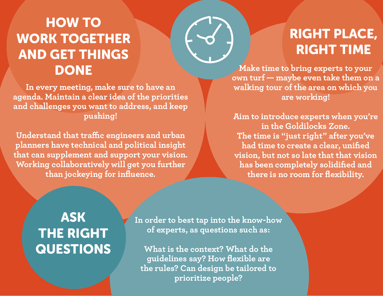## HOW TO WORK TOGETHER AND GET THINGS **DONE**

## RIGHT PLACE, RIGHT TIME

**Make time to bring experts to your own turf — maybe even take them on a walking tour of the area on which you are working!**

**Aim to introduce experts when you're in the Goldilocks Zone. The time is "just right" after you've had time to create a clear, unified vision, but not so late that that vision has been completely solidified and there is no room for flexibility.**

**In every meeting, make sure to have an agenda. Maintain a clear idea of the priorities and challenges you want to address, and keep pushing!**

**Understand that traffic engineers and urban planners have technical and political insight that can supplement and support your vision. Working collaboratively will get you further than jockeying for influence.**

> ASK THE RIGHT QUESTIONS

**In order to best tap into the know-how of experts, as questions such as:**

**What is the context? What do the guidelines say? How flexible are the rules? Can design be tailored to prioritize people?**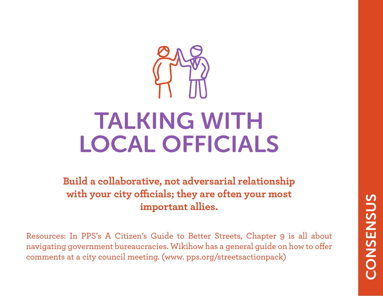

# TALKING WITH LOCAL OFFICIALS

**Build a collaborative, not adversarial relationship with your city officials; they are often your most important allies.**

Resources: In PPS's A Citizen's Guide to Better Streets, Chapter 9 is all about navigating government bureaucracies. Wikihow has a general guide on how to offer comments at a city council meeting. (www. pps.org/streetsactionpack)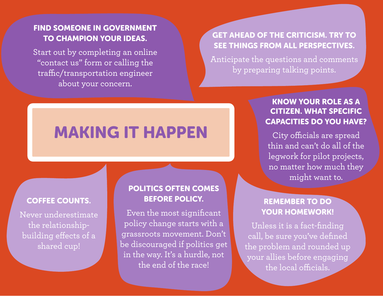#### FIND SOMEONE IN GOVERNMENT TO CHAMPION YOUR IDEAS.

Start out by completing an online "contact us" form or calling the traffic/transportation engineer about your concern.

#### GET AHEAD OF THE CRITICISM. TRY TO SEE THINGS FROM ALL PERSPECTIVES.

Anticipate the questions and comments by preparing talking points.

# MAKING IT HAPPEN

#### COFFEE COUNTS.

Never underestimate the relationshipbuilding effects of a

#### **POLITICS OFTEN COMES** BEFORE POLICY.

Even the most significant policy change starts with a grassroots movement. Don't be discouraged if politics get in the way. It's a hurdle, not the end of the race!

#### KNOW YOUR ROLE AS A CITIZEN. WHAT SPECIFIC CAPACITIES DO YOU HAVE?

City officials are spread thin and can't do all of the legwork for pilot projects, no matter how much they might want to.

#### REMEMBER TO DO YOUR HOMEWORK!

Unless it is a fact-finding call, be sure you've defined the problem and rounded up your allies before engaging the local officials.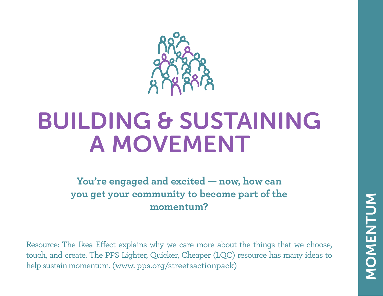

# BUILDING & SUSTAINING **A MOVEMENT**

**You're engaged and excited — now, how can you get your community to become part of the momentum?**

Resource: The Ikea Effect explains why we care more about the things that we choose, touch, and create. The PPS Lighter, Quicker, Cheaper (LQC) resource has many ideas to help sustain momentum. (www. pps.org/streetsactionpack)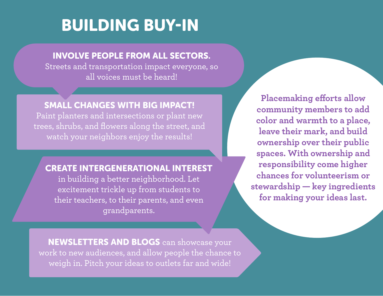# BUILDING BUY-IN

## INVOLVE PEOPLE FROM ALL SECTORS.

Streets and transportation impact everyone, so all voices must be heard!

#### SMALL CHANGES WITH BIG IMPACT!

Paint planters and intersections or plant new trees, shrubs, and flowers along the street, and watch your neighbors enjoy the results!

#### CREATE INTERGENERATIONAL INTEREST

in building a better neighborhood. Let excitement trickle up from students to their teachers, to their parents, and even grandparents.

**Placemaking efforts allow community members to add color and warmth to a place, leave their mark, and build ownership over their public spaces. With ownership and responsibility come higher chances for volunteerism or stewardship — key ingredients for making your ideas last.**

NEWSLETTERS AND BLOGS can showcase your work to new audiences, and allow people the chance to weigh in. Pitch your ideas to outlets far and wide!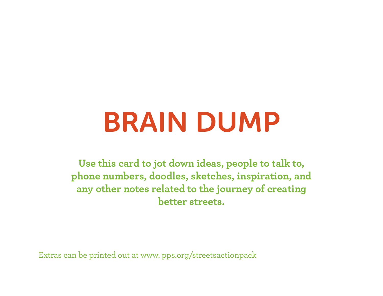# BRAIN DUMP

**Use this card to jot down ideas, people to talk to, phone numbers, doodles, sketches, inspiration, and any other notes related to the journey of creating better streets.**

Extras can be printed out at www. pps.org/streetsactionpack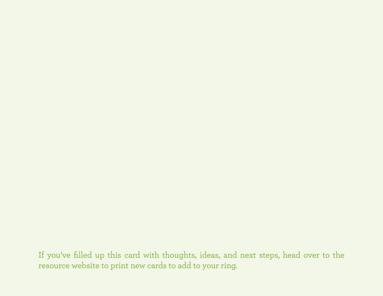If you've filled up this card with thoughts, ideas, and next steps, head over to the resource website to print new cards to add to your ring.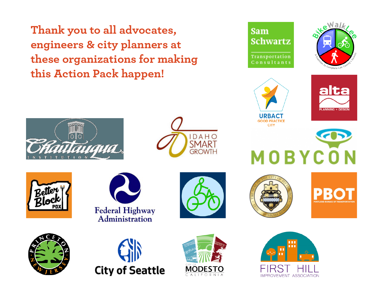**Thank you to all advocates, engineers & city planners at these organizations for making this Action Pack happen!** 









IDAHC **SMA** 

**GROWTH** 









Sam **Schwartz** Transportation<br>Consultants

> **URBAC GOOD PRACTICE CITY**



PBO